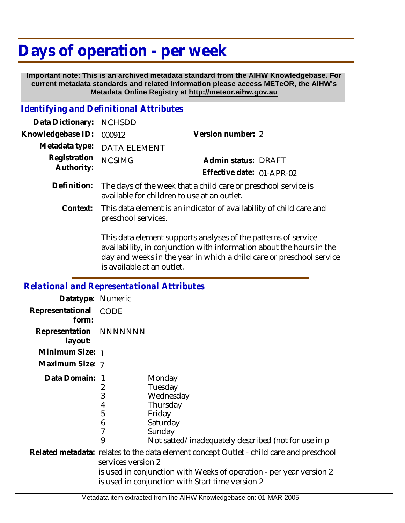## **Days of operation - per week**

 **Important note: This is an archived metadata standard from the AIHW Knowledgebase. For current metadata standards and related information please access METeOR, the AIHW's Metadata Online Registry at http://meteor.aihw.gov.au**

## *Identifying and Definitional Attributes*

| Data Dictionary: NCHSDD  |                                                                        |                           |  |
|--------------------------|------------------------------------------------------------------------|---------------------------|--|
| Knowledgebase ID: 000912 |                                                                        | Version number: 2         |  |
|                          | Metadata type: DATA ELEMENT                                            |                           |  |
| Registration NCSIMG      |                                                                        | Admin status: DRAFT       |  |
| Authority:               |                                                                        | Effective date: 01-APR-02 |  |
|                          | Definition: The days of the week that a child care or preschool servic |                           |  |

- Definition: The days of the week that a child care or preschool service is available for children to use at an outlet.
	- This data element is an indicator of availability of child care and preschool services. **Context:**

This data element supports analyses of the patterns of service availability, in conjunction with information about the hours in the day and weeks in the year in which a child care or preschool service is available at an outlet.

## *Relational and Representational Attributes* **Datatype:** Numeric **Representational** CODE  **form: Representation** NNNNNNN  **layout: Minimum Size:** 1 **Maximum Size:** 7 1 **Data Domain:** $\mathcal{P}$ 3 4 5 6 7 9 **Monday** Tuesday Wednesday Thursday Friday Saturday Sunday Not satted/inadequately described (not for use in pr Related metadata: relates to the data element concept Outlet - child care and preschool services version 2 is used in conjunction with Weeks of operation - per year version 2 is used in conjunction with Start time version 2